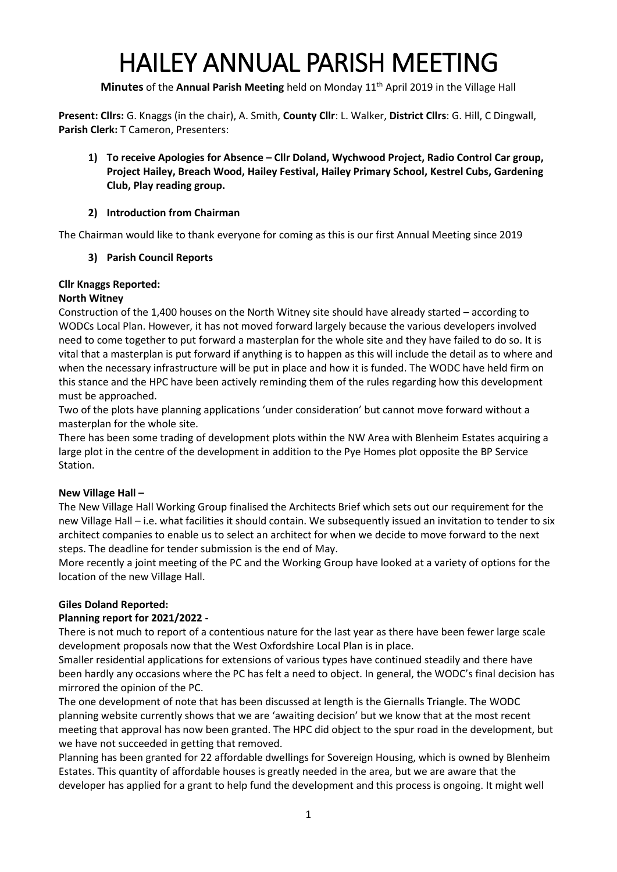# HAILEY ANNUAL PARISH MEETING

Minutes of the Annual Parish Meeting held on Monday 11<sup>th</sup> April 2019 in the Village Hall

**Present: Cllrs:** G. Knaggs (in the chair), A. Smith, **County Cllr**: L. Walker, **District Cllrs**: G. Hill, C Dingwall, **Parish Clerk:** T Cameron, Presenters:

**1) To receive Apologies for Absence – Cllr Doland, Wychwood Project, Radio Control Car group, Project Hailey, Breach Wood, Hailey Festival, Hailey Primary School, Kestrel Cubs, Gardening Club, Play reading group.**

# **2) Introduction from Chairman**

The Chairman would like to thank everyone for coming as this is our first Annual Meeting since 2019

# **3) Parish Council Reports**

# **Cllr Knaggs Reported:**

# **North Witney**

Construction of the 1,400 houses on the North Witney site should have already started – according to WODCs Local Plan. However, it has not moved forward largely because the various developers involved need to come together to put forward a masterplan for the whole site and they have failed to do so. It is vital that a masterplan is put forward if anything is to happen as this will include the detail as to where and when the necessary infrastructure will be put in place and how it is funded. The WODC have held firm on this stance and the HPC have been actively reminding them of the rules regarding how this development must be approached.

Two of the plots have planning applications 'under consideration' but cannot move forward without a masterplan for the whole site.

There has been some trading of development plots within the NW Area with Blenheim Estates acquiring a large plot in the centre of the development in addition to the Pye Homes plot opposite the BP Service Station.

# **New Village Hall –**

The New Village Hall Working Group finalised the Architects Brief which sets out our requirement for the new Village Hall – i.e. what facilities it should contain. We subsequently issued an invitation to tender to six architect companies to enable us to select an architect for when we decide to move forward to the next steps. The deadline for tender submission is the end of May.

More recently a joint meeting of the PC and the Working Group have looked at a variety of options for the location of the new Village Hall.

# **Giles Doland Reported:**

# **Planning report for 2021/2022 -**

There is not much to report of a contentious nature for the last year as there have been fewer large scale development proposals now that the West Oxfordshire Local Plan is in place.

Smaller residential applications for extensions of various types have continued steadily and there have been hardly any occasions where the PC has felt a need to object. In general, the WODC's final decision has mirrored the opinion of the PC.

The one development of note that has been discussed at length is the Giernalls Triangle. The WODC planning website currently shows that we are 'awaiting decision' but we know that at the most recent meeting that approval has now been granted. The HPC did object to the spur road in the development, but we have not succeeded in getting that removed.

Planning has been granted for 22 affordable dwellings for Sovereign Housing, which is owned by Blenheim Estates. This quantity of affordable houses is greatly needed in the area, but we are aware that the developer has applied for a grant to help fund the development and this process is ongoing. It might well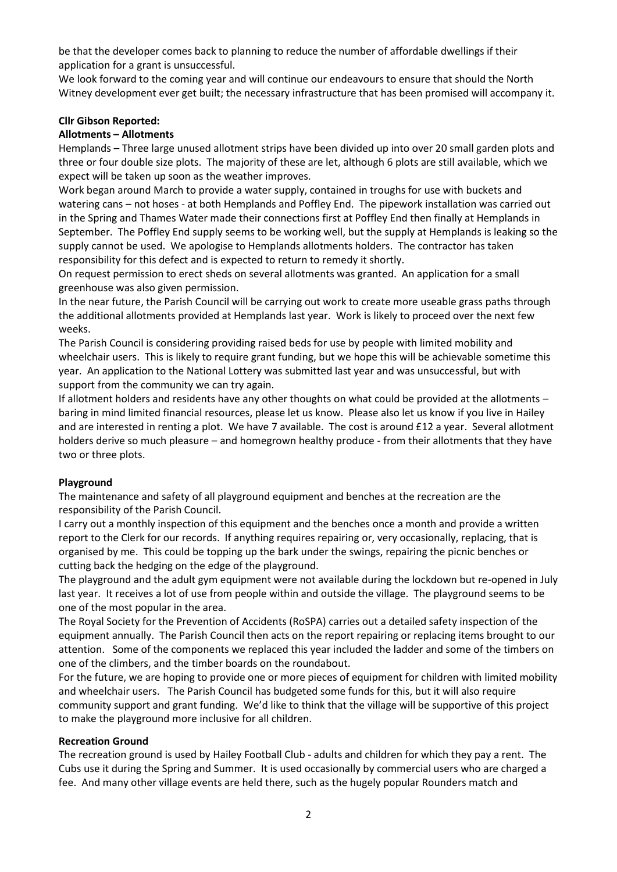be that the developer comes back to planning to reduce the number of affordable dwellings if their application for a grant is unsuccessful.

We look forward to the coming year and will continue our endeavours to ensure that should the North Witney development ever get built; the necessary infrastructure that has been promised will accompany it.

#### **Cllr Gibson Reported:**

#### **Allotments – Allotments**

Hemplands – Three large unused allotment strips have been divided up into over 20 small garden plots and three or four double size plots. The majority of these are let, although 6 plots are still available, which we expect will be taken up soon as the weather improves.

Work began around March to provide a water supply, contained in troughs for use with buckets and watering cans – not hoses - at both Hemplands and Poffley End. The pipework installation was carried out in the Spring and Thames Water made their connections first at Poffley End then finally at Hemplands in September. The Poffley End supply seems to be working well, but the supply at Hemplands is leaking so the supply cannot be used. We apologise to Hemplands allotments holders. The contractor has taken responsibility for this defect and is expected to return to remedy it shortly.

On request permission to erect sheds on several allotments was granted. An application for a small greenhouse was also given permission.

In the near future, the Parish Council will be carrying out work to create more useable grass paths through the additional allotments provided at Hemplands last year. Work is likely to proceed over the next few weeks.

The Parish Council is considering providing raised beds for use by people with limited mobility and wheelchair users. This is likely to require grant funding, but we hope this will be achievable sometime this year. An application to the National Lottery was submitted last year and was unsuccessful, but with support from the community we can try again.

If allotment holders and residents have any other thoughts on what could be provided at the allotments – baring in mind limited financial resources, please let us know. Please also let us know if you live in Hailey and are interested in renting a plot. We have 7 available. The cost is around £12 a year. Several allotment holders derive so much pleasure – and homegrown healthy produce - from their allotments that they have two or three plots.

# **Playground**

The maintenance and safety of all playground equipment and benches at the recreation are the responsibility of the Parish Council.

I carry out a monthly inspection of this equipment and the benches once a month and provide a written report to the Clerk for our records. If anything requires repairing or, very occasionally, replacing, that is organised by me. This could be topping up the bark under the swings, repairing the picnic benches or cutting back the hedging on the edge of the playground.

The playground and the adult gym equipment were not available during the lockdown but re-opened in July last year. It receives a lot of use from people within and outside the village. The playground seems to be one of the most popular in the area.

The Royal Society for the Prevention of Accidents (RoSPA) carries out a detailed safety inspection of the equipment annually. The Parish Council then acts on the report repairing or replacing items brought to our attention. Some of the components we replaced this year included the ladder and some of the timbers on one of the climbers, and the timber boards on the roundabout.

For the future, we are hoping to provide one or more pieces of equipment for children with limited mobility and wheelchair users. The Parish Council has budgeted some funds for this, but it will also require community support and grant funding. We'd like to think that the village will be supportive of this project to make the playground more inclusive for all children.

#### **Recreation Ground**

The recreation ground is used by Hailey Football Club - adults and children for which they pay a rent. The Cubs use it during the Spring and Summer. It is used occasionally by commercial users who are charged a fee. And many other village events are held there, such as the hugely popular Rounders match and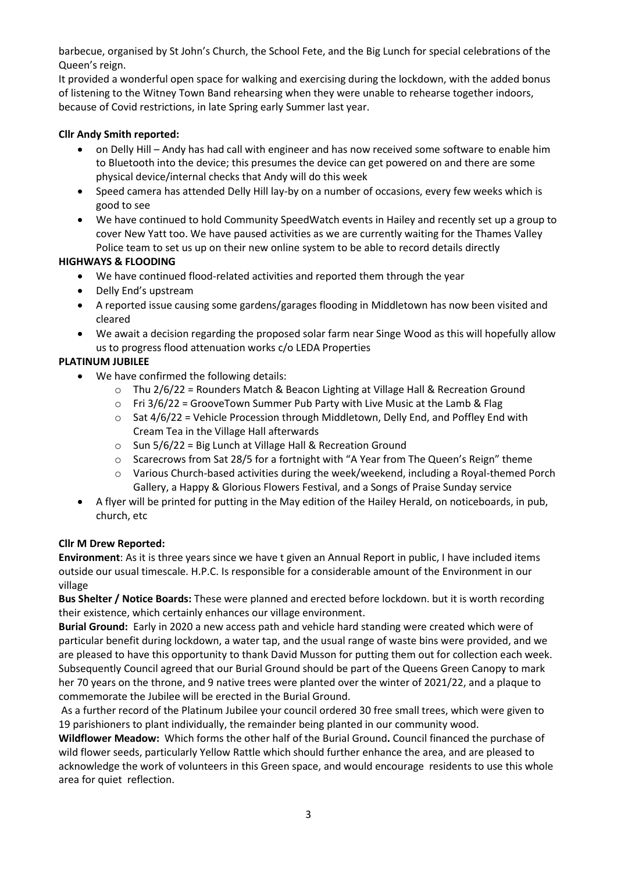barbecue, organised by St John's Church, the School Fete, and the Big Lunch for special celebrations of the Queen's reign.

It provided a wonderful open space for walking and exercising during the lockdown, with the added bonus of listening to the Witney Town Band rehearsing when they were unable to rehearse together indoors, because of Covid restrictions, in late Spring early Summer last year.

# **Cllr Andy Smith reported:**

- on Delly Hill Andy has had call with engineer and has now received some software to enable him to Bluetooth into the device; this presumes the device can get powered on and there are some physical device/internal checks that Andy will do this week
- Speed camera has attended Delly Hill lay-by on a number of occasions, every few weeks which is good to see
- We have continued to hold Community SpeedWatch events in Hailey and recently set up a group to cover New Yatt too. We have paused activities as we are currently waiting for the Thames Valley Police team to set us up on their new online system to be able to record details directly

# **HIGHWAYS & FLOODING**

- We have continued flood-related activities and reported them through the year
- Delly End's upstream
- A reported issue causing some gardens/garages flooding in Middletown has now been visited and cleared
- We await a decision regarding the proposed solar farm near Singe Wood as this will hopefully allow us to progress flood attenuation works c/o LEDA Properties

# **PLATINUM JUBILEE**

- We have confirmed the following details:
	- o Thu 2/6/22 = Rounders Match & Beacon Lighting at Village Hall & Recreation Ground
	- $\circ$  Fri 3/6/22 = GrooveTown Summer Pub Party with Live Music at the Lamb & Flag
	- $\circ$  Sat 4/6/22 = Vehicle Procession through Middletown, Delly End, and Poffley End with Cream Tea in the Village Hall afterwards
	- o Sun 5/6/22 = Big Lunch at Village Hall & Recreation Ground
	- $\circ$  Scarecrows from Sat 28/5 for a fortnight with "A Year from The Queen's Reign" theme
	- $\circ$  Various Church-based activities during the week/weekend, including a Royal-themed Porch Gallery, a Happy & Glorious Flowers Festival, and a Songs of Praise Sunday service
- A flyer will be printed for putting in the May edition of the Hailey Herald, on noticeboards, in pub, church, etc

# **Cllr M Drew Reported:**

**Environment**: As it is three years since we have t given an Annual Report in public, I have included items outside our usual timescale. H.P.C. Is responsible for a considerable amount of the Environment in our village

**Bus Shelter / Notice Boards:** These were planned and erected before lockdown. but it is worth recording their existence, which certainly enhances our village environment.

**Burial Ground:** Early in 2020 a new access path and vehicle hard standing were created which were of particular benefit during lockdown, a water tap, and the usual range of waste bins were provided, and we are pleased to have this opportunity to thank David Musson for putting them out for collection each week. Subsequently Council agreed that our Burial Ground should be part of the Queens Green Canopy to mark her 70 years on the throne, and 9 native trees were planted over the winter of 2021/22, and a plaque to commemorate the Jubilee will be erected in the Burial Ground.

As a further record of the Platinum Jubilee your council ordered 30 free small trees, which were given to 19 parishioners to plant individually, the remainder being planted in our community wood.

**Wildflower Meadow:** Which forms the other half of the Burial Ground**.** Council financed the purchase of wild flower seeds, particularly Yellow Rattle which should further enhance the area, and are pleased to acknowledge the work of volunteers in this Green space, and would encourage residents to use this whole area for quiet reflection.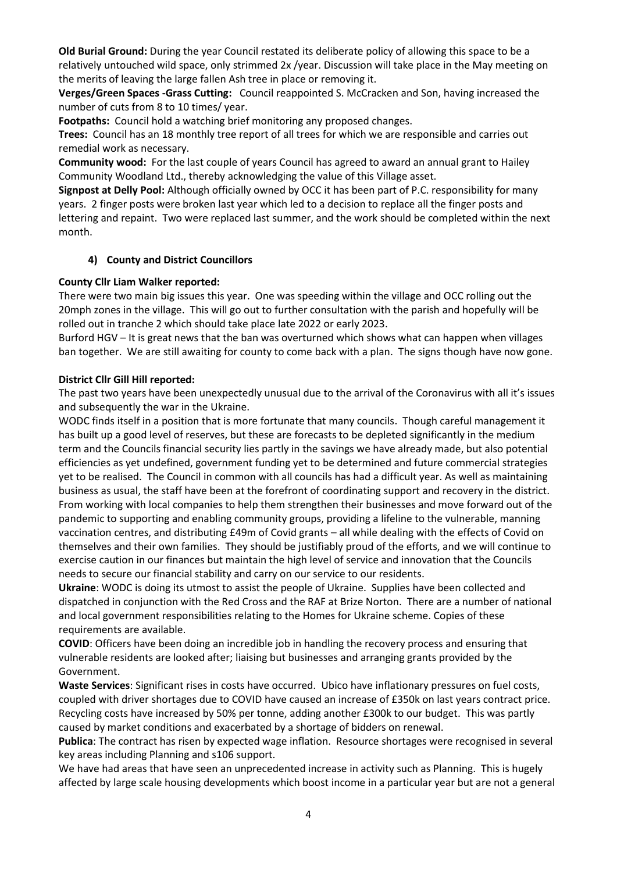**Old Burial Ground:** During the year Council restated its deliberate policy of allowing this space to be a relatively untouched wild space, only strimmed 2x /year. Discussion will take place in the May meeting on the merits of leaving the large fallen Ash tree in place or removing it.

**Verges/Green Spaces -Grass Cutting:** Council reappointed S. McCracken and Son, having increased the number of cuts from 8 to 10 times/ year.

**Footpaths:** Council hold a watching brief monitoring any proposed changes.

**Trees:** Council has an 18 monthly tree report of all trees for which we are responsible and carries out remedial work as necessary.

**Community wood:** For the last couple of years Council has agreed to award an annual grant to Hailey Community Woodland Ltd., thereby acknowledging the value of this Village asset.

**Signpost at Delly Pool:** Although officially owned by OCC it has been part of P.C. responsibility for many years. 2 finger posts were broken last year which led to a decision to replace all the finger posts and lettering and repaint. Two were replaced last summer, and the work should be completed within the next month.

#### **4) County and District Councillors**

#### **County Cllr Liam Walker reported:**

There were two main big issues this year. One was speeding within the village and OCC rolling out the 20mph zones in the village. This will go out to further consultation with the parish and hopefully will be rolled out in tranche 2 which should take place late 2022 or early 2023.

Burford HGV – It is great news that the ban was overturned which shows what can happen when villages ban together. We are still awaiting for county to come back with a plan. The signs though have now gone.

#### **District Cllr Gill Hill reported:**

The past two years have been unexpectedly unusual due to the arrival of the Coronavirus with all it's issues and subsequently the war in the Ukraine.

WODC finds itself in a position that is more fortunate that many councils. Though careful management it has built up a good level of reserves, but these are forecasts to be depleted significantly in the medium term and the Councils financial security lies partly in the savings we have already made, but also potential efficiencies as yet undefined, government funding yet to be determined and future commercial strategies yet to be realised. The Council in common with all councils has had a difficult year. As well as maintaining business as usual, the staff have been at the forefront of coordinating support and recovery in the district. From working with local companies to help them strengthen their businesses and move forward out of the pandemic to supporting and enabling community groups, providing a lifeline to the vulnerable, manning vaccination centres, and distributing £49m of Covid grants – all while dealing with the effects of Covid on themselves and their own families. They should be justifiably proud of the efforts, and we will continue to exercise caution in our finances but maintain the high level of service and innovation that the Councils needs to secure our financial stability and carry on our service to our residents.

**Ukraine**: WODC is doing its utmost to assist the people of Ukraine. Supplies have been collected and dispatched in conjunction with the Red Cross and the RAF at Brize Norton. There are a number of national and local government responsibilities relating to the Homes for Ukraine scheme. Copies of these requirements are available.

**COVID**: Officers have been doing an incredible job in handling the recovery process and ensuring that vulnerable residents are looked after; liaising but businesses and arranging grants provided by the Government.

**Waste Services**: Significant rises in costs have occurred. Ubico have inflationary pressures on fuel costs, coupled with driver shortages due to COVID have caused an increase of £350k on last years contract price. Recycling costs have increased by 50% per tonne, adding another £300k to our budget. This was partly caused by market conditions and exacerbated by a shortage of bidders on renewal.

**Publica**: The contract has risen by expected wage inflation. Resource shortages were recognised in several key areas including Planning and s106 support.

We have had areas that have seen an unprecedented increase in activity such as Planning. This is hugely affected by large scale housing developments which boost income in a particular year but are not a general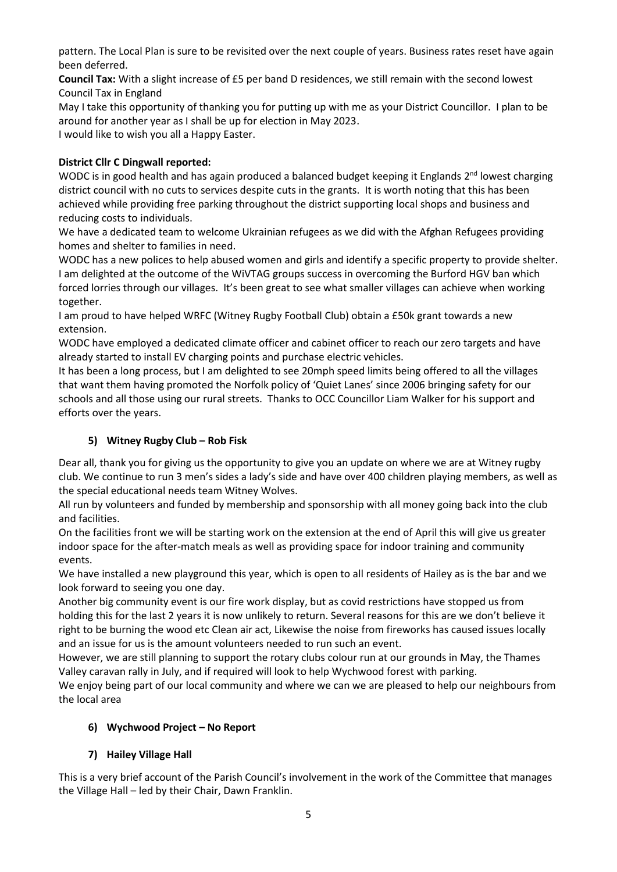pattern. The Local Plan is sure to be revisited over the next couple of years. Business rates reset have again been deferred.

**Council Tax:** With a slight increase of £5 per band D residences, we still remain with the second lowest Council Tax in England

May I take this opportunity of thanking you for putting up with me as your District Councillor. I plan to be around for another year as I shall be up for election in May 2023.

I would like to wish you all a Happy Easter.

# **District Cllr C Dingwall reported:**

WODC is in good health and has again produced a balanced budget keeping it Englands 2<sup>nd</sup> lowest charging district council with no cuts to services despite cuts in the grants. It is worth noting that this has been achieved while providing free parking throughout the district supporting local shops and business and reducing costs to individuals.

We have a dedicated team to welcome Ukrainian refugees as we did with the Afghan Refugees providing homes and shelter to families in need.

WODC has a new polices to help abused women and girls and identify a specific property to provide shelter. I am delighted at the outcome of the WiVTAG groups success in overcoming the Burford HGV ban which forced lorries through our villages. It's been great to see what smaller villages can achieve when working together.

I am proud to have helped WRFC (Witney Rugby Football Club) obtain a £50k grant towards a new extension.

WODC have employed a dedicated climate officer and cabinet officer to reach our zero targets and have already started to install EV charging points and purchase electric vehicles.

It has been a long process, but I am delighted to see 20mph speed limits being offered to all the villages that want them having promoted the Norfolk policy of 'Quiet Lanes' since 2006 bringing safety for our schools and all those using our rural streets. Thanks to OCC Councillor Liam Walker for his support and efforts over the years.

# **5) Witney Rugby Club – Rob Fisk**

Dear all, thank you for giving us the opportunity to give you an update on where we are at Witney rugby club. We continue to run 3 men's sides a lady's side and have over 400 children playing members, as well as the special educational needs team Witney Wolves.

All run by volunteers and funded by membership and sponsorship with all money going back into the club and facilities.

On the facilities front we will be starting work on the extension at the end of April this will give us greater indoor space for the after-match meals as well as providing space for indoor training and community events.

We have installed a new playground this year, which is open to all residents of Hailey as is the bar and we look forward to seeing you one day.

Another big community event is our fire work display, but as covid restrictions have stopped us from holding this for the last 2 years it is now unlikely to return. Several reasons for this are we don't believe it right to be burning the wood etc Clean air act, Likewise the noise from fireworks has caused issues locally and an issue for us is the amount volunteers needed to run such an event.

However, we are still planning to support the rotary clubs colour run at our grounds in May, the Thames Valley caravan rally in July, and if required will look to help Wychwood forest with parking.

We enjoy being part of our local community and where we can we are pleased to help our neighbours from the local area

# **6) Wychwood Project – No Report**

# **7) Hailey Village Hall**

This is a very brief account of the Parish Council's involvement in the work of the Committee that manages the Village Hall – led by their Chair, Dawn Franklin.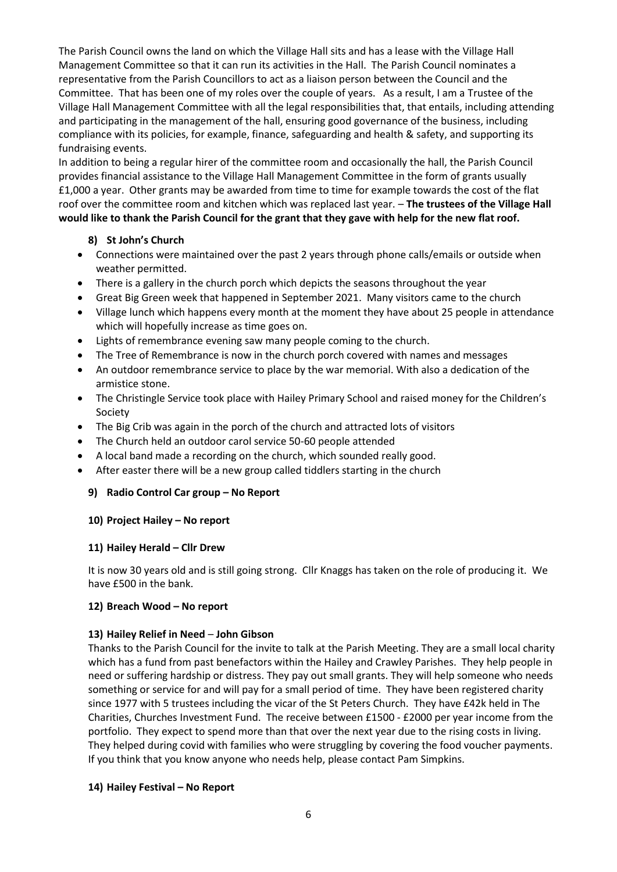The Parish Council owns the land on which the Village Hall sits and has a lease with the Village Hall Management Committee so that it can run its activities in the Hall. The Parish Council nominates a representative from the Parish Councillors to act as a liaison person between the Council and the Committee. That has been one of my roles over the couple of years. As a result, I am a Trustee of the Village Hall Management Committee with all the legal responsibilities that, that entails, including attending and participating in the management of the hall, ensuring good governance of the business, including compliance with its policies, for example, finance, safeguarding and health & safety, and supporting its fundraising events.

In addition to being a regular hirer of the committee room and occasionally the hall, the Parish Council provides financial assistance to the Village Hall Management Committee in the form of grants usually £1,000 a year. Other grants may be awarded from time to time for example towards the cost of the flat roof over the committee room and kitchen which was replaced last year. – **The trustees of the Village Hall would like to thank the Parish Council for the grant that they gave with help for the new flat roof.**

# **8) St John's Church**

- Connections were maintained over the past 2 years through phone calls/emails or outside when weather permitted.
- There is a gallery in the church porch which depicts the seasons throughout the year
- Great Big Green week that happened in September 2021. Many visitors came to the church
- Village lunch which happens every month at the moment they have about 25 people in attendance which will hopefully increase as time goes on.
- Lights of remembrance evening saw many people coming to the church.
- The Tree of Remembrance is now in the church porch covered with names and messages
- An outdoor remembrance service to place by the war memorial. With also a dedication of the armistice stone.
- The Christingle Service took place with Hailey Primary School and raised money for the Children's Society
- The Big Crib was again in the porch of the church and attracted lots of visitors
- The Church held an outdoor carol service 50-60 people attended
- A local band made a recording on the church, which sounded really good.
- After easter there will be a new group called tiddlers starting in the church

#### **9) Radio Control Car group – No Report**

#### **10) Project Hailey – No report**

#### **11) Hailey Herald – Cllr Drew**

It is now 30 years old and is still going strong. Cllr Knaggs has taken on the role of producing it. We have £500 in the bank.

#### **12) Breach Wood – No report**

#### **13) Hailey Relief in Need** – **John Gibson**

Thanks to the Parish Council for the invite to talk at the Parish Meeting. They are a small local charity which has a fund from past benefactors within the Hailey and Crawley Parishes. They help people in need or suffering hardship or distress. They pay out small grants. They will help someone who needs something or service for and will pay for a small period of time. They have been registered charity since 1977 with 5 trustees including the vicar of the St Peters Church. They have £42k held in The Charities, Churches Investment Fund. The receive between £1500 - £2000 per year income from the portfolio. They expect to spend more than that over the next year due to the rising costs in living. They helped during covid with families who were struggling by covering the food voucher payments. If you think that you know anyone who needs help, please contact Pam Simpkins.

#### **14) Hailey Festival – No Report**